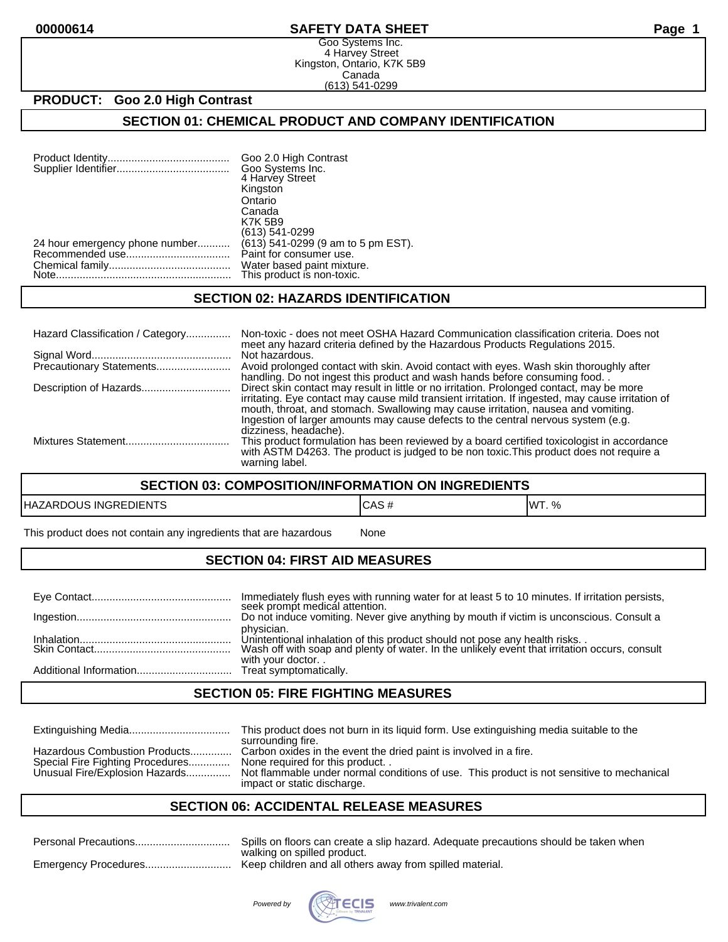#### **00000614 SAFETY DATA SHEET Page 1**

Goo Systems Inc. 4 Harvey Street Kingston, Ontario, K7K 5B9 Canada (613) 541-0299

# **PRODUCT: Goo 2.0 High Contrast**

### **SECTION 01: CHEMICAL PRODUCT AND COMPANY IDENTIFICATION**

| Goo 2.0 High Contrast<br>Goo Systems Inc.<br>4 Harvey Street<br>Kingston |
|--------------------------------------------------------------------------|
| Ontario                                                                  |
| Canada<br><b>K7K 5B9</b>                                                 |
| (613) 541-0299                                                           |
| (613) 541-0299 (9 am to 5 pm EST).<br>Paint for consumer use.            |
| Water based paint mixture.<br>This product is non-toxic.                 |
|                                                                          |

#### **SECTION 02: HAZARDS IDENTIFICATION**

| Hazard Classification / Category | Non-toxic - does not meet OSHA Hazard Communication classification criteria. Does not<br>meet any hazard criteria defined by the Hazardous Products Regulations 2015.                                                                                                                                                                                                                             |
|----------------------------------|---------------------------------------------------------------------------------------------------------------------------------------------------------------------------------------------------------------------------------------------------------------------------------------------------------------------------------------------------------------------------------------------------|
|                                  | Not hazardous.<br>Avoid prolonged contact with skin. Avoid contact with eyes. Wash skin thoroughly after<br>handling. Do not ingest this product and wash hands before consuming food                                                                                                                                                                                                             |
| Description of Hazards           | Direct skin contact may result in little or no irritation. Prolonged contact, may be more<br>irritating. Eye contact may cause mild transient irritation. If ingested, may cause irritation of<br>mouth, throat, and stomach. Swallowing may cause irritation, nausea and vomiting.<br>Ingestion of larger amounts may cause defects to the central nervous system (e.g.<br>dizziness, headache). |
|                                  | This product formulation has been reviewed by a board certified toxicologist in accordance<br>with ASTM D4263. The product is judged to be non toxic. This product does not require a<br>warning label.                                                                                                                                                                                           |

#### **SECTION 03: COMPOSITION/INFORMATION ON INGREDIENTS**

| <b>INGREDIENTS</b><br><b>HAZAR</b><br>טטניי. | CAS | IMT<br>%<br>vvı. |
|----------------------------------------------|-----|------------------|
|                                              |     |                  |

This product does not contain any ingredients that are hazardous None

## **SECTION 04: FIRST AID MEASURES**

| Immediately flush eyes with running water for at least 5 to 10 minutes. If irritation persists,<br>seek prompt medical attention.                                                                               |
|-----------------------------------------------------------------------------------------------------------------------------------------------------------------------------------------------------------------|
| Do not induce vomiting. Never give anything by mouth if victim is unconscious. Consult a                                                                                                                        |
| physician.<br>Unintentional inhalation of this product should not pose any health risks. .<br>Wash off with soap and plenty of water. In the unlikely event that irritation occurs, consult<br>with your doctor |
|                                                                                                                                                                                                                 |

## **SECTION 05: FIRE FIGHTING MEASURES**

|                                                                                                     | This product does not burn in its liquid form. Use extinguishing media suitable to the<br>surrounding fire.                                                                                                                     |
|-----------------------------------------------------------------------------------------------------|---------------------------------------------------------------------------------------------------------------------------------------------------------------------------------------------------------------------------------|
| Hazardous Combustion Products<br>Special Fire Fighting Procedures<br>Unusual Fire/Explosion Hazards | Carbon oxides in the event the dried paint is involved in a fire.<br>None required for this product<br>Not flammable under normal conditions of use. This product is not sensitive to mechanical<br>impact or static discharge. |

#### **SECTION 06: ACCIDENTAL RELEASE MEASURES**

| Personal Precautions | Spills on floors can create a slip hazard. Adequate precautions should be taken when    |
|----------------------|-----------------------------------------------------------------------------------------|
|                      | walking on spilled product.<br>Keep children and all others away from spilled material. |
|                      |                                                                                         |

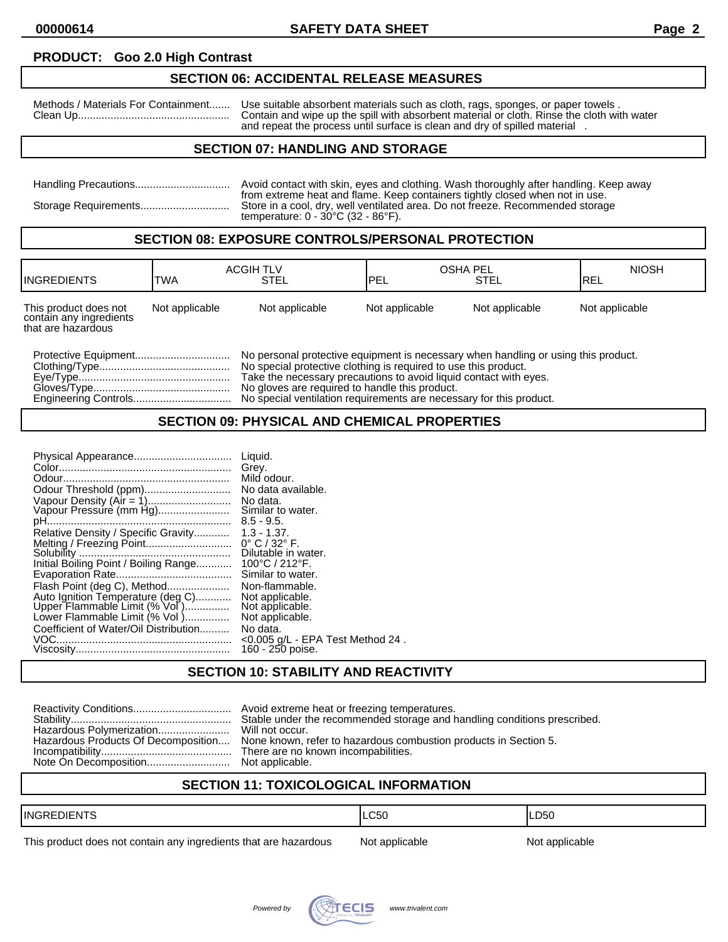#### **PRODUCT: Goo 2.0 High Contrast**

#### **SECTION 06: ACCIDENTAL RELEASE MEASURES**

Methods / Materials For Containment....... Use suitable absorbent materials such as cloth, rags, sponges, or paper towels . Clean Up................................................... Contain and wipe up the spill with absorbent material or cloth. Rinse the cloth with water and repeat the process until surface is clean and dry of spilled material.

## **SECTION 07: HANDLING AND STORAGE**

| Avoid contact with skin, eyes and clothing. Wash thoroughly after handling. Keep away                                                                                                                                     |
|---------------------------------------------------------------------------------------------------------------------------------------------------------------------------------------------------------------------------|
| from extreme heat and flame. Keep containers tightly closed when not in use.<br>Store in a cool, dry, well ventilated area. Do not freeze. Recommended storage<br>temperature: $0 - 30^{\circ}$ C (32 - 86 $^{\circ}$ F). |

#### **SECTION 08: EXPOSURE CONTROLS/PERSONAL PROTECTION**

| <b>IINGREDIENTS</b>                                                    | <b>ACGIH TLV</b><br><b>TWA</b> | <b>STEL</b>    | <b>OSHA PEL</b><br><b>IPEL</b> | <b>STEL</b>    | <b>NIOSH</b><br>IREL |
|------------------------------------------------------------------------|--------------------------------|----------------|--------------------------------|----------------|----------------------|
| This product does not<br>contain any ingredients<br>that are hazardous | Not applicable                 | Not applicable | Not applicable                 | Not applicable | Not applicable       |

| No special protective clothing is required to use this product.   |
|-------------------------------------------------------------------|
| Take the necessary precautions to avoid liquid contact with eyes. |
| No gloves are required to handle this product.                    |
|                                                                   |

## **SECTION 09: PHYSICAL AND CHEMICAL PROPERTIES**

## **SECTION 10: STABILITY AND REACTIVITY**

|                                     | Stable under the recommended storage and handling conditions prescribed. |
|-------------------------------------|--------------------------------------------------------------------------|
| Hazardous Polymerization            | Will not occur.                                                          |
| Hazardous Products Of Decomposition | None known, refer to hazardous combustion products in Section 5.         |
|                                     | There are no known incompabilities.                                      |
|                                     |                                                                          |

# **SECTION 11: TOXICOLOGICAL INFORMATION**

| <b>IINGRE</b><br>$\cdot$ $-$<br>JIEN | LC50 | D <sub>50</sub> |
|--------------------------------------|------|-----------------|
|                                      |      |                 |

This product does not contain any ingredients that are hazardous Not applicable Not applicable

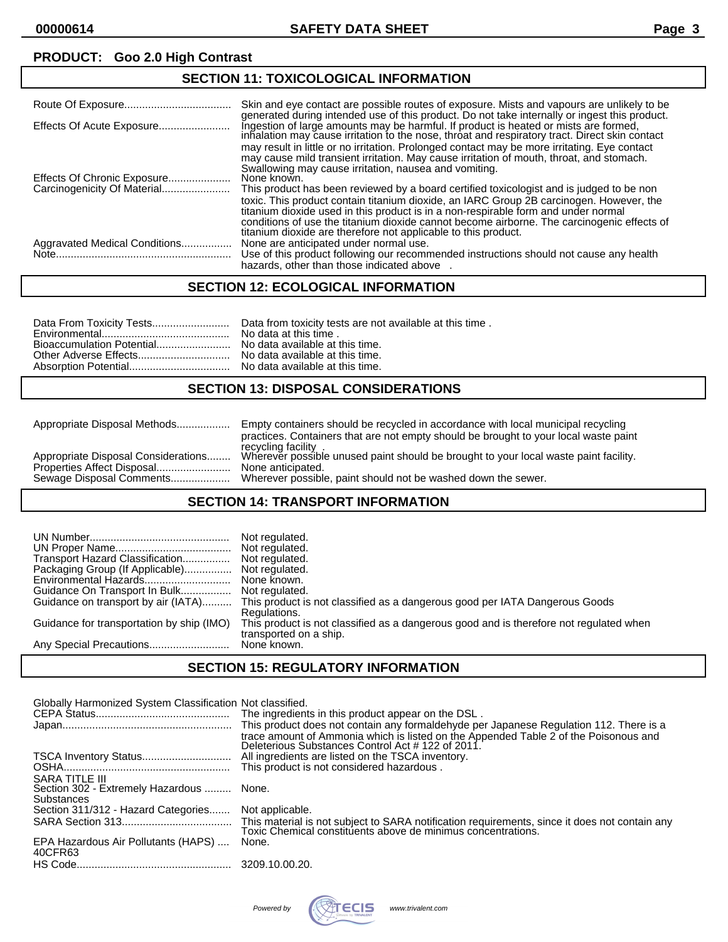# **PRODUCT: Goo 2.0 High Contrast**

## **SECTION 11: TOXICOLOGICAL INFORMATION**

|                               | Skin and eye contact are possible routes of exposure. Mists and vapours are unlikely to be<br>generated during intended use of this product. Do not take internally or ingest this product.                                                                                                                                                                                                                                                 |
|-------------------------------|---------------------------------------------------------------------------------------------------------------------------------------------------------------------------------------------------------------------------------------------------------------------------------------------------------------------------------------------------------------------------------------------------------------------------------------------|
| Effects Of Acute Exposure     | Ingestion of large amounts may be harmful. If product is heated or mists are formed,<br>inhalation may cause irritation to the nose, throat and respiratory tract. Direct skin contact<br>may result in little or no irritation. Prolonged contact may be more irritating. Eye contact<br>may cause mild transient irritation. May cause irritation of mouth, throat, and stomach.<br>Swallowing may cause irritation, nausea and vomiting. |
| Effects Of Chronic Exposure   | None known.                                                                                                                                                                                                                                                                                                                                                                                                                                 |
|                               | This product has been reviewed by a board certified toxicologist and is judged to be non<br>toxic. This product contain titanium dioxide, an IARC Group 2B carcinogen. However, the<br>titanium dioxide used in this product is in a non-respirable form and under normal<br>conditions of use the titanium dioxide cannot become airborne. The carcinogenic effects of<br>titanium dioxide are therefore not applicable to this product.   |
| Aggravated Medical Conditions | None are anticipated under normal use.<br>Use of this product following our recommended instructions should not cause any health<br>hazards, other than those indicated above                                                                                                                                                                                                                                                               |

## **SECTION 12: ECOLOGICAL INFORMATION**

## **SECTION 13: DISPOSAL CONSIDERATIONS**

| Appropriate Disposal Methods        | Empty containers should be recycled in accordance with local municipal recycling     |
|-------------------------------------|--------------------------------------------------------------------------------------|
|                                     | practices. Containers that are not empty should be brought to your local waste paint |
|                                     | recycling facility.                                                                  |
| Appropriate Disposal Considerations | Wherever possible unused paint should be brought to your local waste paint facility. |
|                                     | None anticipated.                                                                    |
| Sewage Disposal Comments            | Wherever possible, paint should not be washed down the sewer.                        |

#### **SECTION 14: TRANSPORT INFORMATION**

| Transport Hazard Classification<br>Packaging Group (If Applicable)<br>Environmental Hazards<br>Guidance On Transport In Bulk<br>Guidance on transport by air (IATA)<br>Guidance for transportation by ship (IMO) | Not regulated.<br>Not regulated.<br>Not regulated.<br>Not regulated.<br>None known.<br>Not regulated.<br>This product is not classified as a dangerous good per IATA Dangerous Goods<br>Regulations.<br>This product is not classified as a dangerous good and is therefore not regulated when<br>transported on a ship.<br>None known. |
|------------------------------------------------------------------------------------------------------------------------------------------------------------------------------------------------------------------|-----------------------------------------------------------------------------------------------------------------------------------------------------------------------------------------------------------------------------------------------------------------------------------------------------------------------------------------|
|------------------------------------------------------------------------------------------------------------------------------------------------------------------------------------------------------------------|-----------------------------------------------------------------------------------------------------------------------------------------------------------------------------------------------------------------------------------------------------------------------------------------------------------------------------------------|

## **SECTION 15: REGULATORY INFORMATION**

| Globally Harmonized System Classification Not classified.                              | The ingredients in this product appear on the DSL.<br>This product does not contain any formaldehyde per Japanese Regulation 112. There is a<br>trace amount of Ammonia which is listed on the Appended Table 2 of the Poisonous and<br>Deleterious Substances Control Act # 122 of 2011. |
|----------------------------------------------------------------------------------------|-------------------------------------------------------------------------------------------------------------------------------------------------------------------------------------------------------------------------------------------------------------------------------------------|
|                                                                                        | All ingredients are listed on the TSCA inventory.                                                                                                                                                                                                                                         |
|                                                                                        | This product is not considered hazardous.                                                                                                                                                                                                                                                 |
| <b>SARA TITLE III</b><br>Section 302 - Extremely Hazardous  None.<br><b>Substances</b> |                                                                                                                                                                                                                                                                                           |
| Section 311/312 - Hazard Categories Not applicable.                                    |                                                                                                                                                                                                                                                                                           |
|                                                                                        |                                                                                                                                                                                                                                                                                           |
| EPA Hazardous Air Pollutants (HAPS)<br>40CFR63                                         | None.                                                                                                                                                                                                                                                                                     |
|                                                                                        |                                                                                                                                                                                                                                                                                           |